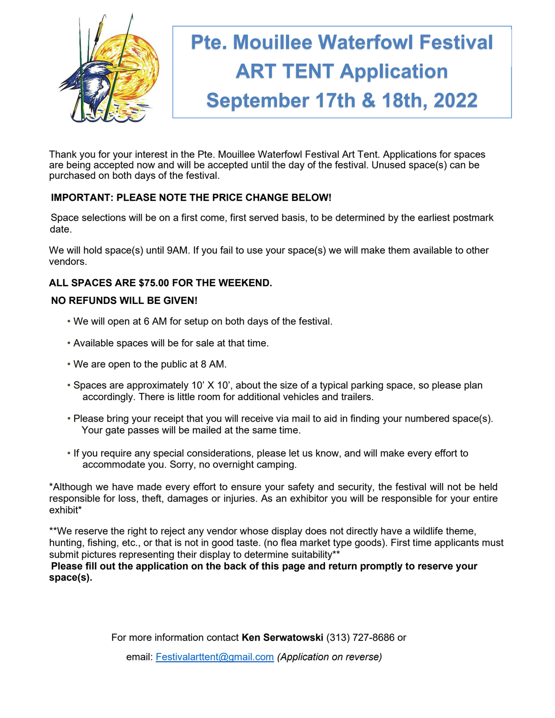

Thank you for your interest in the Pte. Mouillee Waterfowl Festival Art Tent. Applications for spaces are being accepted now and will be accepted until the day of the festival. Unused space(s) can be purchased on both days of the festival.

### IMPORTANT: PLEASE NOTE THE PRICE CHANGE BELOW!

Space selections will be on a first come, first served basis, to be determined by the earliest postmark date.

We will hold space(s) until 9AM. If you fail to use your space(s) we will make them available to other vendors.

### ALL SPACES ARE \$75.00 FOR THE WEEKEND.

#### NO REFUNDS WILL BE GIVEN!

- We will open at 6 AM for setup on both days of the festival.
- Available spaces will be for sale at that time.
- We are open to the public at 8 AM.
- Spaces are approximately 10' X 10', about the size of a typical parking space, so please plan accordingly. There is little room for additional vehicles and trailers.
- Please bring your receipt that you will receive via mail to aid in finding your numbered space(s). Your gate passes will be mailed at the same time.
- If you require any special considerations, please let us know, and will make every effort to accommodate you. Sorry, no overnight camping.

\*Although we have made every effort to ensure your safety and security, the festival will not be held responsible for loss, theft, damages or injuries. As an exhibitor you will be responsible for your entire exhibit\*

\*\*We reserve the right to reject any vendor whose display does not directly have a wildlife theme, hunting, fishing, etc., or that is not in good taste. (no flea market type goods). First time applicants must submit pictures representing their display to determine suitability\*\*

Please fill out the application on the back of this page and return promptly to reserve your space(s).

For more information contact Ken Serwatowski (313) 727-8686 or